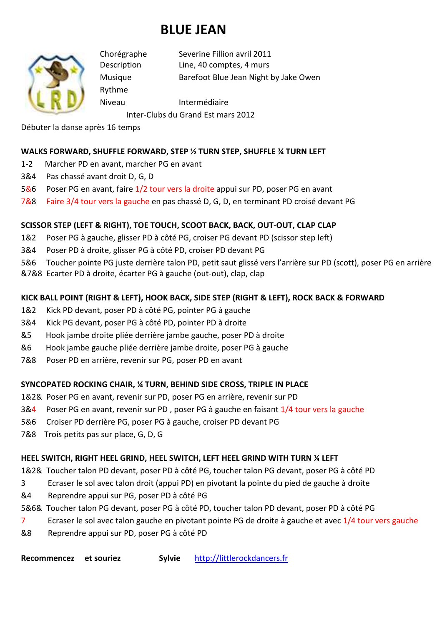# **BLUE JEAN**



Rythme

Chorégraphe Severine Fillion avril 2011 Description Line, 40 comptes, 4 murs Musique Barefoot Blue Jean Night by Jake Owen

Niveau Intermédiaire

Inter-Clubs du Grand Est mars 2012

Débuter la danse après 16 temps

#### **WALKS FORWARD, SHUFFLE FORWARD, STEP ½ TURN STEP, SHUFFLE ¾ TURN LEFT**

- 1-2 Marcher PD en avant, marcher PG en avant
- 3&4 Pas chassé avant droit D, G, D
- 5&6 Poser PG en avant, faire 1/2 tour vers la droite appui sur PD, poser PG en avant
- 7&8 Faire 3/4 tour vers la gauche en pas chassé D, G, D, en terminant PD croisé devant PG

### **SCISSOR STEP (LEFT & RIGHT), TOE TOUCH, SCOOT BACK, BACK, OUT-OUT, CLAP CLAP**

- 1&2 Poser PG à gauche, glisser PD à côté PG, croiser PG devant PD (scissor step left)
- 3&4 Poser PD à droite, glisser PG à côté PD, croiser PD devant PG
- 5&6 Toucher pointe PG juste derrière talon PD, petit saut glissé vers l'arrière sur PD (scott), poser PG en arrière
- &7&8 Ecarter PD à droite, écarter PG à gauche (out-out), clap, clap

### **KICK BALL POINT (RIGHT & LEFT), HOOK BACK, SIDE STEP (RIGHT & LEFT), ROCK BACK & FORWARD**

- 1&2 Kick PD devant, poser PD à côté PG, pointer PG à gauche
- 3&4 Kick PG devant, poser PG à côté PD, pointer PD à droite
- &5 Hook jambe droite pliée derrière jambe gauche, poser PD à droite
- &6 Hook jambe gauche pliée derrière jambe droite, poser PG à gauche
- 7&8 Poser PD en arrière, revenir sur PG, poser PD en avant

#### **SYNCOPATED ROCKING CHAIR, ¼ TURN, BEHIND SIDE CROSS, TRIPLE IN PLACE**

- 1&2& Poser PG en avant, revenir sur PD, poser PG en arrière, revenir sur PD
- 3&4 Poser PG en avant, revenir sur PD , poser PG à gauche en faisant 1/4 tour vers la gauche
- 5&6 Croiser PD derrière PG, poser PG à gauche, croiser PD devant PG
- 7&8 Trois petits pas sur place, G, D, G

#### **HEEL SWITCH, RIGHT HEEL GRIND, HEEL SWITCH, LEFT HEEL GRIND WITH TURN ¼ LEFT**

1&2& Toucher talon PD devant, poser PD à côté PG, toucher talon PG devant, poser PG à côté PD

- 3 Ecraser le sol avec talon droit (appui PD) en pivotant la pointe du pied de gauche à droite
- &4 Reprendre appui sur PG, poser PD à côté PG
- 5&6& Toucher talon PG devant, poser PG à côté PD, toucher talon PD devant, poser PD à côté PG
- 7 Ecraser le sol avec talon gauche en pivotant pointe PG de droite à gauche et avec 1/4 tour vers gauche
- &8 Reprendre appui sur PD, poser PG à côté PD

**Recommencez et souriez Sylvie** http://littlerockdancers.fr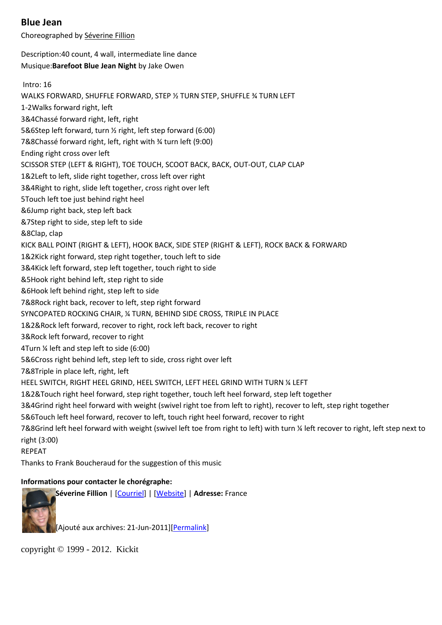#### **Blue Jean**

Choreographed by Séverine Fillion

Description:40 count, 4 wall, intermediate line dance Musique:**Barefoot Blue Jean Night** by Jake Owen

 Intro: 16 WALKS FORWARD, SHUFFLE FORWARD, STEP ½ TURN STEP, SHUFFLE ¾ TURN LEFT 1-2Walks forward right, left 3&4Chassé forward right, left, right 5&6Step left forward, turn ½ right, left step forward (6:00) 7&8Chassé forward right, left, right with ¾ turn left (9:00) Ending right cross over left SCISSOR STEP (LEFT & RIGHT), TOE TOUCH, SCOOT BACK, BACK, OUT-OUT, CLAP CLAP 1&2Left to left, slide right together, cross left over right 3&4Right to right, slide left together, cross right over left 5Touch left toe just behind right heel &6Jump right back, step left back &7Step right to side, step left to side &8Clap, clap KICK BALL POINT (RIGHT & LEFT), HOOK BACK, SIDE STEP (RIGHT & LEFT), ROCK BACK & FORWARD 1&2Kick right forward, step right together, touch left to side 3&4Kick left forward, step left together, touch right to side &5Hook right behind left, step right to side &6Hook left behind right, step left to side 7&8Rock right back, recover to left, step right forward SYNCOPATED ROCKING CHAIR, ¼ TURN, BEHIND SIDE CROSS, TRIPLE IN PLACE 1&2&Rock left forward, recover to right, rock left back, recover to right 3&Rock left forward, recover to right 4Turn ¼ left and step left to side (6:00) 5&6Cross right behind left, step left to side, cross right over left 7&8Triple in place left, right, left HEEL SWITCH, RIGHT HEEL GRIND, HEEL SWITCH, LEFT HEEL GRIND WITH TURN ¼ LEFT 1&2&Touch right heel forward, step right together, touch left heel forward, step left together 3&4Grind right heel forward with weight (swivel right toe from left to right), recover to left, step right together 5&6Touch left heel forward, recover to left, touch right heel forward, recover to right 7&8Grind left heel forward with weight (swivel left toe from right to left) with turn ¼ left recover to right, left step next to right (3:00)

REPEAT

Thanks to Frank Boucheraud for the suggestion of this music

#### **Informations pour contacter le chorégraphe:**



copyright © 1999 - 2012. Kickit